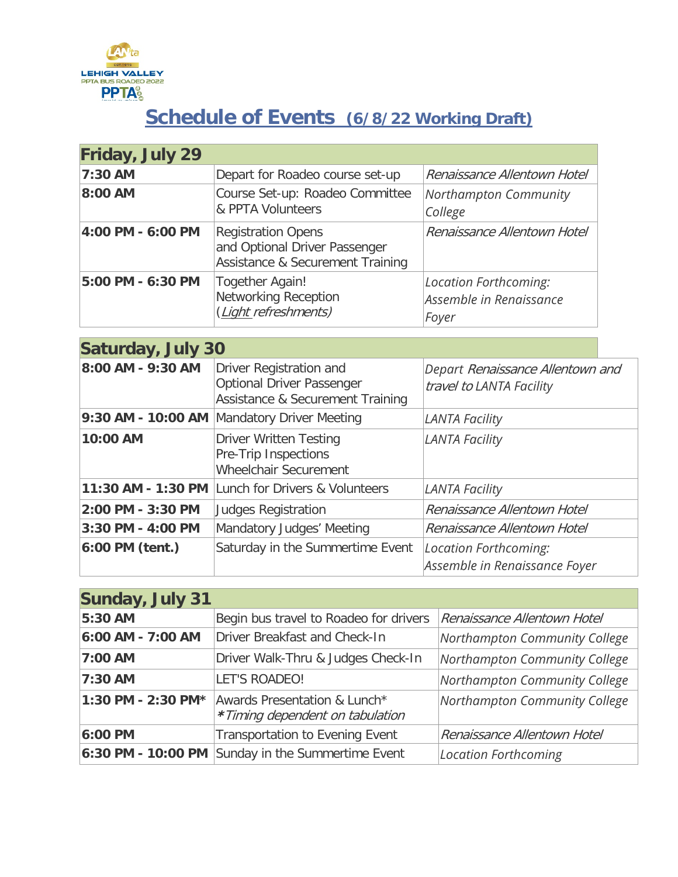

## **Schedule of Events (6/8/22 Working Draft)**

| Friday, July 29   |                                                                                                |                                                           |
|-------------------|------------------------------------------------------------------------------------------------|-----------------------------------------------------------|
| 7:30 AM           | Depart for Roadeo course set-up                                                                | Renaissance Allentown Hotel                               |
| 8:00 AM           | Course Set-up: Roadeo Committee<br>& PPTA Volunteers                                           | Northampton Community<br>College                          |
| 4:00 PM - 6:00 PM | <b>Registration Opens</b><br>and Optional Driver Passenger<br>Assistance & Securement Training | Renaissance Allentown Hotel                               |
| 5:00 PM - 6:30 PM | Together Again!<br><b>Networking Reception</b><br>(Light refreshments)                         | Location Forthcoming:<br>Assemble in Renaissance<br>Foyer |

| <b>Saturday, July 30</b> |                                                                                                 |                                                              |  |
|--------------------------|-------------------------------------------------------------------------------------------------|--------------------------------------------------------------|--|
| 8:00 AM - 9:30 AM        | Driver Registration and<br><b>Optional Driver Passenger</b><br>Assistance & Securement Training | Depart Renaissance Allentown and<br>travel to LANTA Facility |  |
|                          | 9:30 AM - 10:00 AM Mandatory Driver Meeting                                                     | <b>LANTA Facility</b>                                        |  |
| 10:00 AM                 | <b>Driver Written Testing</b><br>Pre-Trip Inspections<br><b>Wheelchair Securement</b>           | <b>LANTA Facility</b>                                        |  |
| 11:30 AM - 1:30 PM       | Lunch for Drivers & Volunteers                                                                  | <b>LANTA Facility</b>                                        |  |
| 2:00 PM - 3:30 PM        | <b>Judges Registration</b>                                                                      | Renaissance Allentown Hotel                                  |  |
| 3:30 PM - 4:00 PM        | Mandatory Judges' Meeting                                                                       | Renaissance Allentown Hotel                                  |  |
| 6:00 PM (tent.)          | Saturday in the Summertime Event                                                                | Location Forthcoming:<br>Assemble in Renaissance Foyer       |  |

| <b>Sunday, July 31</b> |                                                                 |                               |
|------------------------|-----------------------------------------------------------------|-------------------------------|
| 5:30 AM                | Begin bus travel to Roadeo for drivers                          | Renaissance Allentown Hotel   |
| 6:00 AM - 7:00 AM      | <b>Driver Breakfast and Check-In</b>                            | Northampton Community College |
| 7:00 AM                | Driver Walk-Thru & Judges Check-In                              | Northampton Community College |
| 7:30 AM                | LET'S ROADEO!                                                   | Northampton Community College |
| 1:30 PM - 2:30 PM*     | Awards Presentation & Lunch*<br>*Timing dependent on tabulation | Northampton Community College |
| 6:00 PM                | Transportation to Evening Event                                 | Renaissance Allentown Hotel   |
|                        | 6:30 PM - 10:00 PM Sunday in the Summertime Event               | <b>Location Forthcoming</b>   |